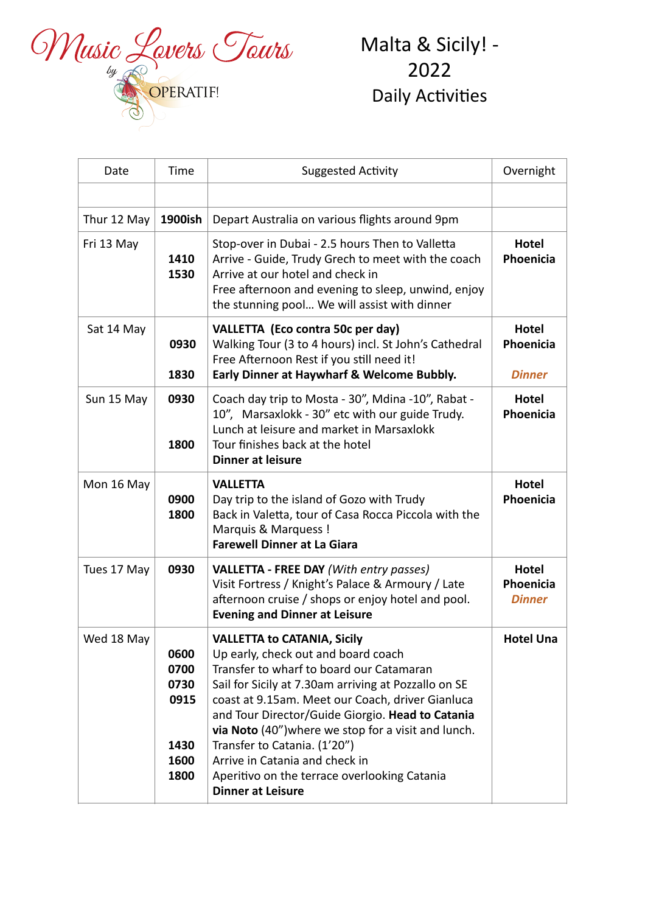

Malta & Sicily! -2022 Daily Activities 

| Date        | Time                                                 | <b>Suggested Activity</b>                                                                                                                                                                                                                                                                                                                                                                                                                                                                  | Overnight                                  |
|-------------|------------------------------------------------------|--------------------------------------------------------------------------------------------------------------------------------------------------------------------------------------------------------------------------------------------------------------------------------------------------------------------------------------------------------------------------------------------------------------------------------------------------------------------------------------------|--------------------------------------------|
|             |                                                      |                                                                                                                                                                                                                                                                                                                                                                                                                                                                                            |                                            |
| Thur 12 May | 1900ish                                              | Depart Australia on various flights around 9pm                                                                                                                                                                                                                                                                                                                                                                                                                                             |                                            |
| Fri 13 May  | 1410<br>1530                                         | Stop-over in Dubai - 2.5 hours Then to Valletta<br>Arrive - Guide, Trudy Grech to meet with the coach<br>Arrive at our hotel and check in<br>Free afternoon and evening to sleep, unwind, enjoy<br>the stunning pool We will assist with dinner                                                                                                                                                                                                                                            | <b>Hotel</b><br>Phoenicia                  |
| Sat 14 May  | 0930<br>1830                                         | VALLETTA (Eco contra 50c per day)<br>Walking Tour (3 to 4 hours) incl. St John's Cathedral<br>Free Afternoon Rest if you still need it!<br>Early Dinner at Haywharf & Welcome Bubbly.                                                                                                                                                                                                                                                                                                      | Hotel<br>Phoenicia<br><b>Dinner</b>        |
| Sun 15 May  | 0930<br>1800                                         | Coach day trip to Mosta - 30", Mdina -10", Rabat -<br>10", Marsaxlokk - 30" etc with our guide Trudy.<br>Lunch at leisure and market in Marsaxlokk<br>Tour finishes back at the hotel<br><b>Dinner at leisure</b>                                                                                                                                                                                                                                                                          | <b>Hotel</b><br>Phoenicia                  |
| Mon 16 May  | 0900<br>1800                                         | <b>VALLETTA</b><br>Day trip to the island of Gozo with Trudy<br>Back in Valetta, tour of Casa Rocca Piccola with the<br>Marquis & Marquess !<br><b>Farewell Dinner at La Giara</b>                                                                                                                                                                                                                                                                                                         | Hotel<br>Phoenicia                         |
| Tues 17 May | 0930                                                 | <b>VALLETTA - FREE DAY (With entry passes)</b><br>Visit Fortress / Knight's Palace & Armoury / Late<br>afternoon cruise / shops or enjoy hotel and pool.<br><b>Evening and Dinner at Leisure</b>                                                                                                                                                                                                                                                                                           | <b>Hotel</b><br>Phoenicia<br><b>Dinner</b> |
| Wed 18 May  | 0600<br>0700<br>0730<br>0915<br>1430<br>1600<br>1800 | <b>VALLETTA to CATANIA, Sicily</b><br>Up early, check out and board coach<br>Transfer to wharf to board our Catamaran<br>Sail for Sicily at 7.30am arriving at Pozzallo on SE<br>coast at 9.15am. Meet our Coach, driver Gianluca<br>and Tour Director/Guide Giorgio. Head to Catania<br>via Noto (40") where we stop for a visit and lunch.<br>Transfer to Catania. (1'20")<br>Arrive in Catania and check in<br>Aperitivo on the terrace overlooking Catania<br><b>Dinner at Leisure</b> | <b>Hotel Una</b>                           |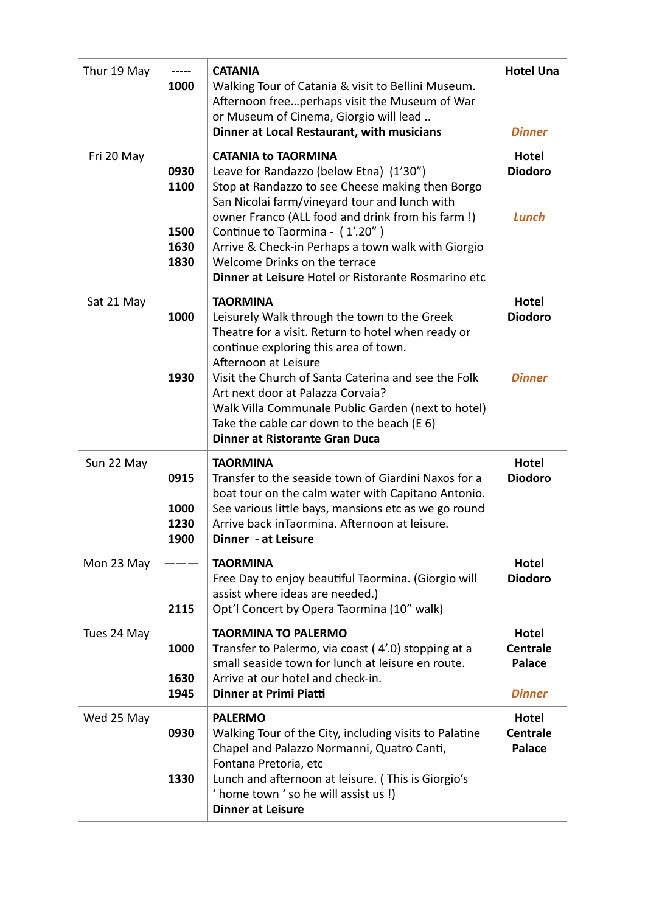| Thur 19 May | -----<br>1000                        | <b>CATANIA</b><br>Walking Tour of Catania & visit to Bellini Museum.<br>Afternoon freeperhaps visit the Museum of War<br>or Museum of Cinema, Giorgio will lead<br>Dinner at Local Restaurant, with musicians                                                                                                                                                                                                                   | <b>Hotel Una</b><br><b>Dinner</b>                          |
|-------------|--------------------------------------|---------------------------------------------------------------------------------------------------------------------------------------------------------------------------------------------------------------------------------------------------------------------------------------------------------------------------------------------------------------------------------------------------------------------------------|------------------------------------------------------------|
| Fri 20 May  | 0930<br>1100<br>1500<br>1630<br>1830 | <b>CATANIA to TAORMINA</b><br>Leave for Randazzo (below Etna) (1'30")<br>Stop at Randazzo to see Cheese making then Borgo<br>San Nicolai farm/vineyard tour and lunch with<br>owner Franco (ALL food and drink from his farm!)<br>Continue to Taormina - (1'.20")<br>Arrive & Check-in Perhaps a town walk with Giorgio<br>Welcome Drinks on the terrace<br>Dinner at Leisure Hotel or Ristorante Rosmarino etc                 | <b>Hotel</b><br><b>Diodoro</b><br>Lunch                    |
| Sat 21 May  | 1000<br>1930                         | <b>TAORMINA</b><br>Leisurely Walk through the town to the Greek<br>Theatre for a visit. Return to hotel when ready or<br>continue exploring this area of town.<br>Afternoon at Leisure<br>Visit the Church of Santa Caterina and see the Folk<br>Art next door at Palazza Corvaia?<br>Walk Villa Communale Public Garden (next to hotel)<br>Take the cable car down to the beach (E 6)<br><b>Dinner at Ristorante Gran Duca</b> | <b>Hotel</b><br><b>Diodoro</b><br><b>Dinner</b>            |
| Sun 22 May  | 0915<br>1000<br>1230<br>1900         | <b>TAORMINA</b><br>Transfer to the seaside town of Giardini Naxos for a<br>boat tour on the calm water with Capitano Antonio.<br>See various little bays, mansions etc as we go round<br>Arrive back inTaormina. Afternoon at leisure.<br><b>Dinner</b> - at Leisure                                                                                                                                                            | <b>Hotel</b><br><b>Diodoro</b>                             |
| Mon 23 May  | 2115                                 | <b>TAORMINA</b><br>Free Day to enjoy beautiful Taormina. (Giorgio will<br>assist where ideas are needed.)<br>Opt'l Concert by Opera Taormina (10" walk)                                                                                                                                                                                                                                                                         | <b>Hotel</b><br><b>Diodoro</b>                             |
| Tues 24 May | 1000<br>1630<br>1945                 | <b>TAORMINA TO PALERMO</b><br>Transfer to Palermo, via coast (4'.0) stopping at a<br>small seaside town for lunch at leisure en route.<br>Arrive at our hotel and check-in.<br>Dinner at Primi Piatti                                                                                                                                                                                                                           | <b>Hotel</b><br><b>Centrale</b><br>Palace<br><b>Dinner</b> |
| Wed 25 May  | 0930<br>1330                         | <b>PALERMO</b><br>Walking Tour of the City, including visits to Palatine<br>Chapel and Palazzo Normanni, Quatro Canti,<br>Fontana Pretoria, etc<br>Lunch and afternoon at leisure. (This is Giorgio's<br>' home town ' so he will assist us!)<br><b>Dinner at Leisure</b>                                                                                                                                                       | <b>Hotel</b><br><b>Centrale</b><br>Palace                  |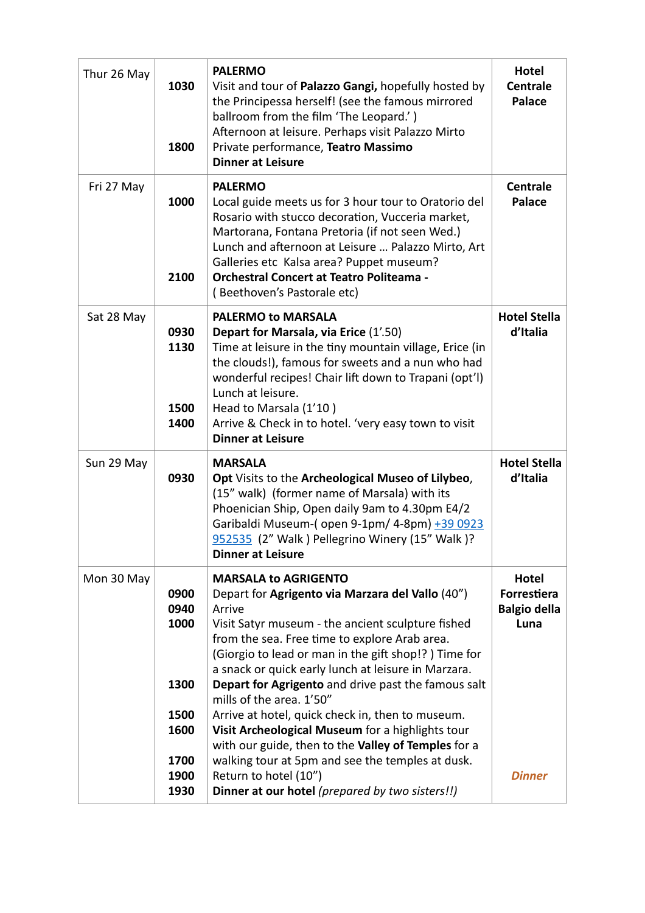| Thur 26 May | 1030<br>1800                                         | <b>PALERMO</b><br>Visit and tour of Palazzo Gangi, hopefully hosted by<br>the Principessa herself! (see the famous mirrored<br>ballroom from the film 'The Leopard.')<br>Afternoon at leisure. Perhaps visit Palazzo Mirto<br>Private performance, Teatro Massimo<br><b>Dinner at Leisure</b>                                                                                                                                                                                                                                                                                                                        | Hotel<br><b>Centrale</b><br><b>Palace</b>           |
|-------------|------------------------------------------------------|----------------------------------------------------------------------------------------------------------------------------------------------------------------------------------------------------------------------------------------------------------------------------------------------------------------------------------------------------------------------------------------------------------------------------------------------------------------------------------------------------------------------------------------------------------------------------------------------------------------------|-----------------------------------------------------|
| Fri 27 May  | 1000<br>2100                                         | <b>PALERMO</b><br>Local guide meets us for 3 hour tour to Oratorio del<br>Rosario with stucco decoration, Vucceria market,<br>Martorana, Fontana Pretoria (if not seen Wed.)<br>Lunch and afternoon at Leisure  Palazzo Mirto, Art<br>Galleries etc Kalsa area? Puppet museum?<br><b>Orchestral Concert at Teatro Politeama -</b><br>(Beethoven's Pastorale etc)                                                                                                                                                                                                                                                     | <b>Centrale</b><br><b>Palace</b>                    |
| Sat 28 May  | 0930<br>1130<br>1500<br>1400                         | <b>PALERMO to MARSALA</b><br>Depart for Marsala, via Erice (1'.50)<br>Time at leisure in the tiny mountain village, Erice (in<br>the clouds!), famous for sweets and a nun who had<br>wonderful recipes! Chair lift down to Trapani (opt'l)<br>Lunch at leisure.<br>Head to Marsala (1'10)<br>Arrive & Check in to hotel. 'very easy town to visit<br><b>Dinner at Leisure</b>                                                                                                                                                                                                                                       | <b>Hotel Stella</b><br>d'Italia                     |
| Sun 29 May  | 0930                                                 | <b>MARSALA</b><br>Opt Visits to the Archeological Museo of Lilybeo,<br>(15" walk) (former name of Marsala) with its<br>Phoenician Ship, Open daily 9am to 4.30pm E4/2<br>Garibaldi Museum-(open 9-1pm/ 4-8pm) +39 0923<br>952535 (2" Walk ) Pellegrino Winery (15" Walk )?<br><b>Dinner at Leisure</b>                                                                                                                                                                                                                                                                                                               | <b>Hotel Stella</b><br>d'Italia                     |
| Mon 30 May  | 0900<br>0940<br>1000<br>1300<br>1500<br>1600<br>1700 | <b>MARSALA to AGRIGENTO</b><br>Depart for Agrigento via Marzara del Vallo (40")<br>Arrive<br>Visit Satyr museum - the ancient sculpture fished<br>from the sea. Free time to explore Arab area.<br>(Giorgio to lead or man in the gift shop!?) Time for<br>a snack or quick early lunch at leisure in Marzara.<br>Depart for Agrigento and drive past the famous salt<br>mills of the area. 1'50"<br>Arrive at hotel, quick check in, then to museum.<br>Visit Archeological Museum for a highlights tour<br>with our guide, then to the Valley of Temples for a<br>walking tour at 5pm and see the temples at dusk. | Hotel<br>Forrestiera<br><b>Balgio della</b><br>Luna |
|             | 1900<br>1930                                         | Return to hotel (10")<br>Dinner at our hotel (prepared by two sisters!!)                                                                                                                                                                                                                                                                                                                                                                                                                                                                                                                                             | <b>Dinner</b>                                       |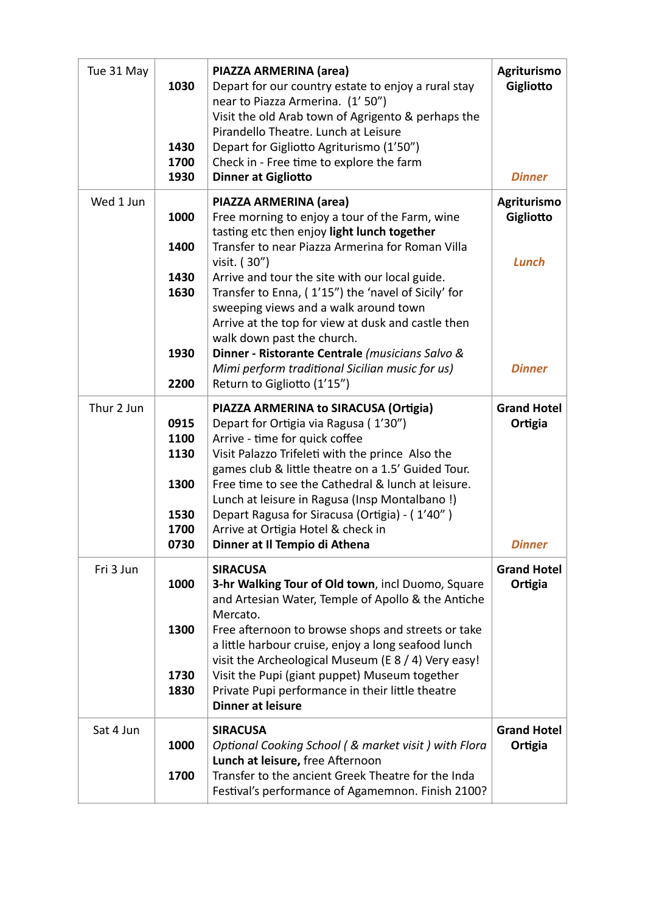| Tue 31 May | 1030<br>1430<br>1700<br>1930                         | PIAZZA ARMERINA (area)<br>Depart for our country estate to enjoy a rural stay<br>near to Piazza Armerina. (1'50")<br>Visit the old Arab town of Agrigento & perhaps the<br>Pirandello Theatre. Lunch at Leisure<br>Depart for Gigliotto Agriturismo (1'50")<br>Check in - Free time to explore the farm<br>Dinner at Gigliotto                                                                                                                                                                                                                                         | Agriturismo<br>Gigliotto<br><b>Dinner</b>                 |
|------------|------------------------------------------------------|------------------------------------------------------------------------------------------------------------------------------------------------------------------------------------------------------------------------------------------------------------------------------------------------------------------------------------------------------------------------------------------------------------------------------------------------------------------------------------------------------------------------------------------------------------------------|-----------------------------------------------------------|
| Wed 1 Jun  | 1000<br>1400<br>1430<br>1630<br>1930<br>2200         | PIAZZA ARMERINA (area)<br>Free morning to enjoy a tour of the Farm, wine<br>tasting etc then enjoy light lunch together<br>Transfer to near Piazza Armerina for Roman Villa<br>visit. (30")<br>Arrive and tour the site with our local guide.<br>Transfer to Enna, (1'15") the 'navel of Sicily' for<br>sweeping views and a walk around town<br>Arrive at the top for view at dusk and castle then<br>walk down past the church.<br>Dinner - Ristorante Centrale (musicians Salvo &<br>Mimi perform traditional Sicilian music for us)<br>Return to Gigliotto (1'15") | Agriturismo<br>Gigliotto<br><b>Lunch</b><br><b>Dinner</b> |
| Thur 2 Jun | 0915<br>1100<br>1130<br>1300<br>1530<br>1700<br>0730 | PIAZZA ARMERINA to SIRACUSA (Ortigia)<br>Depart for Ortigia via Ragusa (1'30")<br>Arrive - time for quick coffee<br>Visit Palazzo Trifeleti with the prince Also the<br>games club & little theatre on a 1.5' Guided Tour.<br>Free time to see the Cathedral & lunch at leisure.<br>Lunch at leisure in Ragusa (Insp Montalbano!)<br>Depart Ragusa for Siracusa (Ortigia) - (1'40")<br>Arrive at Ortigia Hotel & check in<br>Dinner at Il Tempio di Athena                                                                                                             | <b>Grand Hotel</b><br>Ortigia<br><b>Dinner</b>            |
| Fri 3 Jun  | 1000<br>1300<br>1730<br>1830                         | <b>SIRACUSA</b><br>3-hr Walking Tour of Old town, incl Duomo, Square<br>and Artesian Water, Temple of Apollo & the Antiche<br>Mercato.<br>Free afternoon to browse shops and streets or take<br>a little harbour cruise, enjoy a long seafood lunch<br>visit the Archeological Museum (E 8 / 4) Very easy!<br>Visit the Pupi (giant puppet) Museum together<br>Private Pupi performance in their little theatre<br><b>Dinner at leisure</b>                                                                                                                            | <b>Grand Hotel</b><br>Ortigia                             |
| Sat 4 Jun  | 1000<br>1700                                         | <b>SIRACUSA</b><br>Optional Cooking School (& market visit) with Flora<br>Lunch at leisure, free Afternoon<br>Transfer to the ancient Greek Theatre for the Inda<br>Festival's performance of Agamemnon. Finish 2100?                                                                                                                                                                                                                                                                                                                                                  | <b>Grand Hotel</b><br>Ortigia                             |